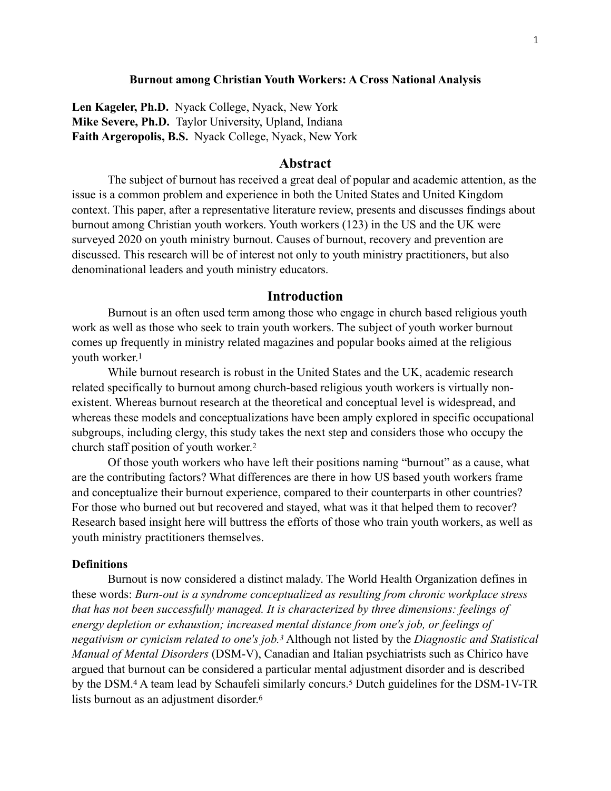### **Burnout among Christian Youth Workers: A Cross National Analysis**

**Len Kageler, Ph.D.** Nyack College, Nyack, New York **Mike Severe, Ph.D.** Taylor University, Upland, Indiana **Faith Argeropolis, B.S.** Nyack College, Nyack, New York

# **Abstract**

The subject of burnout has received a great deal of popular and academic attention, as the issue is a common problem and experience in both the United States and United Kingdom context. This paper, after a representative literature review, presents and discusses findings about burnout among Christian youth workers. Youth workers (123) in the US and the UK were surveyed 2020 on youth ministry burnout. Causes of burnout, recovery and prevention are discussed. This research will be of interest not only to youth ministry practitioners, but also denominational leaders and youth ministry educators.

# <span id="page-0-1"></span>**Introduction**

Burnout is an often used term among those who engage in church based religious youth work as well as those who seek to train youth workers. The subject of youth worker burnout comes up frequently in ministry related magazines and popular books aimed at the religious youth worker.[1](#page-19-0)

<span id="page-0-0"></span>While burnout research is robust in the United States and the UK, academic research related specifically to burnout among church-based religious youth workers is virtually nonexistent. Whereas burnout research at the theoretical and conceptual level is widespread, and whereas these models and conceptualizations have been amply explored in specific occupational subgroups, including clergy, this study takes the next step and considers those who occupy the church staff position of youth worker[.2](#page-19-1)

Of those youth workers who have left their positions naming "burnout" as a cause, what are the contributing factors? What differences are there in how US based youth workers frame and conceptualize their burnout experience, compared to their counterparts in other countries? For those who burned out but recovered and stayed, what was it that helped them to recover? Research based insight here will buttress the efforts of those who train youth workers, as well as youth ministry practitioners themselves.

#### **Definitions**

<span id="page-0-5"></span><span id="page-0-4"></span><span id="page-0-3"></span><span id="page-0-2"></span>Burnout is now considered a distinct malady. The World Health Organization defines in these words: *Burn-out is a syndrome conceptualized as resulting from chronic workplace stress that has not been successfully managed. It is characterized by three dimensions: feelings of energy depletion or exhaustion; increased mental distance from one's job, or feelings of negativism or cynicism related to one's job.* Although not listed by the *Diagnostic and Statistical [3](#page-19-2) Manual of Mental Disorders* (DSM-V), Canadian and Italian psychiatrists such as Chirico have argued that burnout can be considered a particular mental adjustment disorder and is described bythe DSM.<sup>[4](#page-19-3)</sup> A team lead by Schaufeli similarly concurs.<sup>5</sup> Dutch guidelines for the DSM-1V-TR lists burnout as an adjustment disorder[.6](#page-19-5)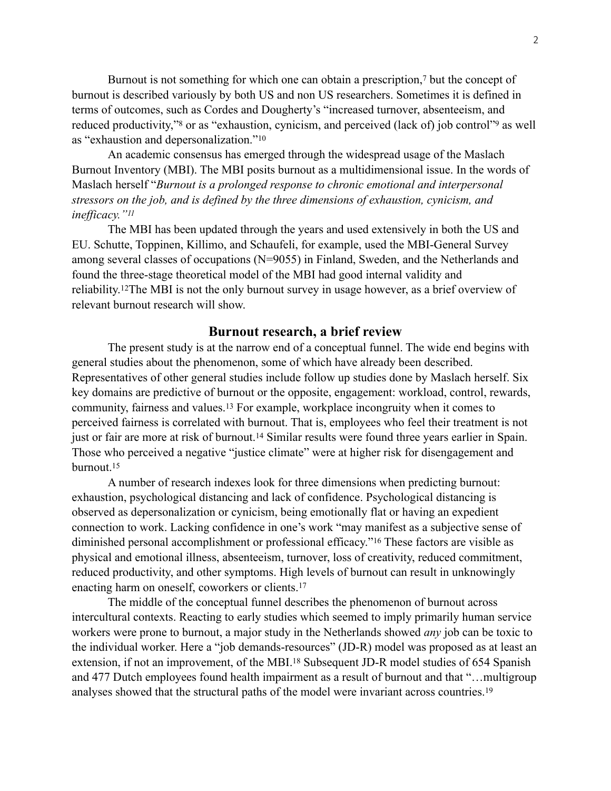Burnoutis not something for which one can obtain a prescription, $7$  but the concept of burnout is described variously by both US and non US researchers. Sometimes it is defined in terms of outcomes, such as Cordes and Dougherty's "increased turnover, absenteeism, and reduced productivity,["](#page-20-0)<sup>[8](#page-19-7)</sup> or as "exhaustion, cynicism, and perceived (lack of) job control"<sup>9</sup> as well as "exhaustion and depersonalization."[10](#page-20-1)

<span id="page-1-3"></span><span id="page-1-1"></span>An academic consensus has emerged through the widespread usage of the Maslach Burnout Inventory (MBI). The MBI posits burnout as a multidimensional issue. In the words of Maslach herself "*Burnout is a prolonged response to chronic emotional and interpersonal stressors on the job, and is defined by the three dimensions of exhaustion, cynicism, and inefficacy."[11](#page-20-2)*

<span id="page-1-5"></span><span id="page-1-4"></span>The MBI has been updated through the years and used extensively in both the US and EU. Schutte, Toppinen, Killimo, and Schaufeli, for example, used the MBI-General Survey among several classes of occupations (N=9055) in Finland, Sweden, and the Netherlands and found the three-stage theoretical model of the MBI had good internal validity and reliability. <sup>12</sup>[T](#page-20-3)he MBI is not the only burnout survey in usage however, as a brief overview of relevant burnout research will show.

# <span id="page-1-9"></span><span id="page-1-7"></span><span id="page-1-6"></span><span id="page-1-2"></span><span id="page-1-0"></span>**Burnout research, a brief review**

The present study is at the narrow end of a conceptual funnel. The wide end begins with general studies about the phenomenon, some of which have already been described. Representatives of other general studies include follow up studies done by Maslach herself. Six key domains are predictive of burnout or the opposite, engagement: workload, control, rewards, community, fairness and values[.](#page-20-4)<sup>[13](#page-20-4)</sup> For example, workplace incongruity when it comes to perceived fairness is correlated with burnout. That is, employees who feel their treatment is not just or fair are more at risk of burnout[.](#page-20-5)<sup>[14](#page-20-5)</sup> Similar results were found three years earlier in Spain. Those who perceived a negative "justice climate" were at higher risk for disengagement and burnout[.](#page-20-6) [15](#page-20-6)

<span id="page-1-8"></span>A number of research indexes look for three dimensions when predicting burnout: exhaustion, psychological distancing and lack of confidence. Psychological distancing is observed as depersonalization or cynicism, being emotionally flat or having an expedient connection to work. Lacking confidence in one's work "may manifest as a subjective sense of diminished personal accomplishment or professional efficacy.["](#page-20-7)<sup>[16](#page-20-7)</sup> These factors are visible as physical and emotional illness, absenteeism, turnover, loss of creativity, reduced commitment, reduced productivity, and other symptoms. High levels of burnout can result in unknowingly enacting harm on oneself, coworkers or clients[.17](#page-20-8)

<span id="page-1-12"></span><span id="page-1-11"></span><span id="page-1-10"></span>The middle of the conceptual funnel describes the phenomenon of burnout across intercultural contexts. Reacting to early studies which seemed to imply primarily human service workers were prone to burnout, a major study in the Netherlands showed *any* job can be toxic to the individual worker. Here a "job demands-resources" (JD-R) model was proposed as at least an extension, if not an improvement, of the MBI[.](#page-20-9)<sup>[18](#page-20-9)</sup> Subsequent JD-R model studies of 654 Spanish and 477 Dutch employees found health impairment as a result of burnout and that "…multigroup analyses showed that the structural paths of the model were invariant across countries[.](#page-20-10) [19](#page-20-10)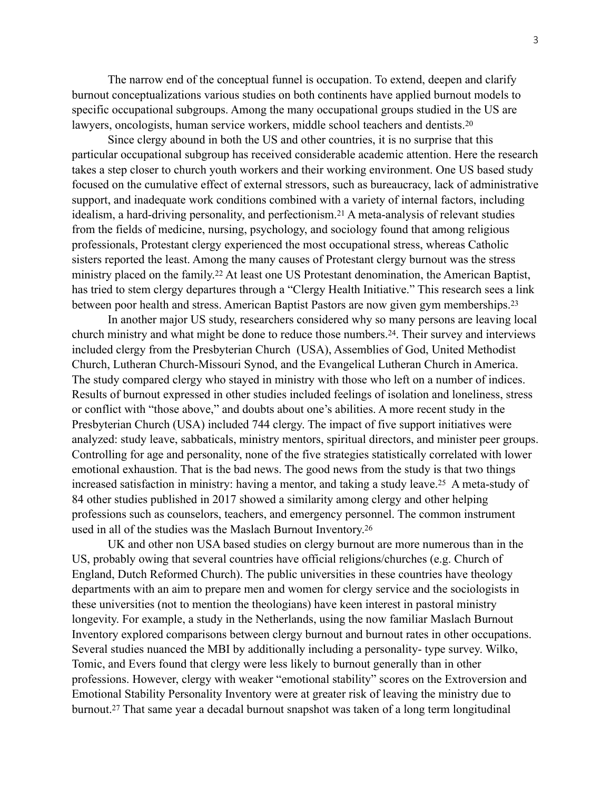The narrow end of the conceptual funnel is occupation. To extend, deepen and clarify burnout conceptualizations various studies on both continents have applied burnout models to specific occupational subgroups. Among the many occupational groups studied in the US are lawyers, oncologists, human service workers, middle school teachers and dentists[.20](#page-21-0)

<span id="page-2-1"></span><span id="page-2-0"></span>Since clergy abound in both the US and other countries, it is no surprise that this particular occupational subgroup has received considerable academic attention. Here the research takes a step closer to church youth workers and their working environment. One US based study focused on the cumulative effect of external stressors, such as bureaucracy, lack of administrative support, and inadequate work conditions combined with a variety of internal factors, including idealism,a hard-driving personality, and perfectionism.<sup>[21](#page-21-1)</sup> A meta-analysis of relevant studies from the fields of medicine, nursing, psychology, and sociology found that among religious professionals, Protestant clergy experienced the most occupational stress, whereas Catholic sisters reported the least. Among the many causes of Protestant clergy burnout was the stress ministryplaced on the family.<sup>[22](#page-21-2)</sup> At least one US Protestant denomination, the American Baptist, has tried to stem clergy departures through a "Clergy Health Initiative." This research sees a link between poor health and stress. American Baptist Pastors are now given gym memberships.[23](#page-21-3)

<span id="page-2-4"></span><span id="page-2-3"></span><span id="page-2-2"></span>In another major US study, researchers considered why so many persons are leaving local church ministry and what might be done to reduce those numbers[.](#page-21-4)<sup>[24](#page-21-4)</sup>. Their survey and interviews included clergy from the Presbyterian Church (USA), Assemblies of God, United Methodist Church, Lutheran Church-Missouri Synod, and the Evangelical Lutheran Church in America. The study compared clergy who stayed in ministry with those who left on a number of indices. Results of burnout expressed in other studies included feelings of isolation and loneliness, stress or conflict with "those above," and doubts about one's abilities. A more recent study in the Presbyterian Church (USA) included 744 clergy. The impact of five support initiatives were analyzed: study leave, sabbaticals, ministry mentors, spiritual directors, and minister peer groups. Controlling for age and personality, none of the five strategies statistically correlated with lower emotional exhaustion. That is the bad news. The good news from the study is that two things increased satisfaction in ministry: having a mentor, and taking a study leave[.](#page-21-5)<sup>[25](#page-21-5)</sup> A meta-study of 84 other studies published in 2017 showed a similarity among clergy and other helping professions such as counselors, teachers, and emergency personnel. The common instrument used in all of the studies was the Maslach Burnout Inventory.[26](#page-21-6)

<span id="page-2-7"></span><span id="page-2-6"></span><span id="page-2-5"></span>UK and other non USA based studies on clergy burnout are more numerous than in the US, probably owing that several countries have official religions/churches (e.g. Church of England, Dutch Reformed Church). The public universities in these countries have theology departments with an aim to prepare men and women for clergy service and the sociologists in these universities (not to mention the theologians) have keen interest in pastoral ministry longevity. For example, a study in the Netherlands, using the now familiar Maslach Burnout Inventory explored comparisons between clergy burnout and burnout rates in other occupations. Several studies nuanced the MBI by additionally including a personality- type survey. Wilko, Tomic, and Evers found that clergy were less likely to burnout generally than in other professions. However, clergy with weaker "emotional stability" scores on the Extroversion and Emotional Stability Personality Inventory were at greater risk of leaving the ministry due to burnout[.](#page-21-7)<sup>[27](#page-21-7)</sup> That same year a decadal burnout snapshot was taken of a long term longitudinal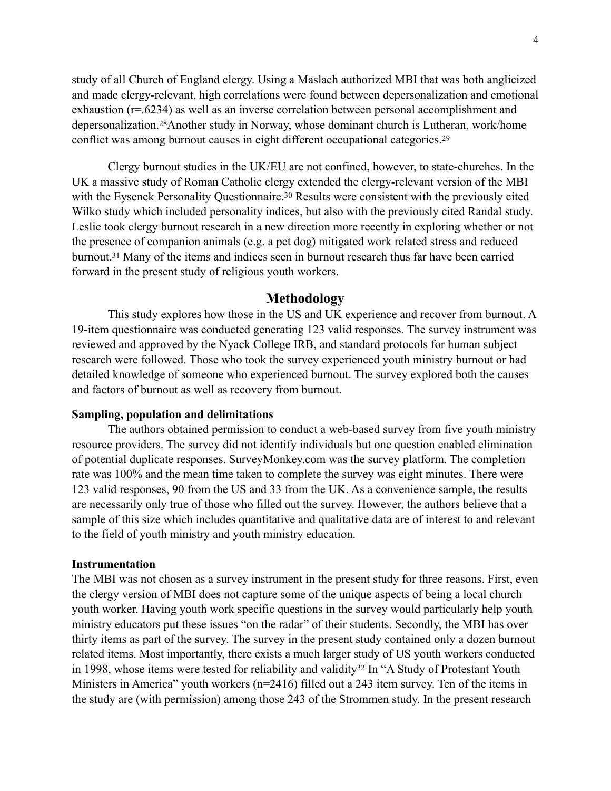<span id="page-3-0"></span>study of all Church of England clergy. Using a Maslach authorized MBI that was both anglicized and made clergy-relevant, high correlations were found between depersonalization and emotional exhaustion (r=.6234) as well as an inverse correlation between personal accomplishment and depersonalization.<sup>28</sup>[A](#page-21-8)nother study in Norway, whose dominant church is Lutheran, work/home conflict was among burnout causes in eight different occupational categories. [29](#page-21-9)

Clergy burnout studies in the UK/EU are not confined, however, to state-churches. In the UK a massive study of Roman Catholic clergy extended the clergy-relevant version of the MBI withthe Eysenck Personality Questionnaire.<sup>[30](#page-22-0)</sup> Results were consistent with the previously cited Wilko study which included personality indices, but also with the previously cited Randal study. Leslie took clergy burnout research in a new direction more recently in exploring whether or not the presence of companion animals (e.g. a pet dog) mitigated work related stress and reduced burnout[.](#page-22-1)<sup>[31](#page-22-1)</sup> Many of the items and indices seen in burnout research thus far have been carried forward in the present study of religious youth workers.

# <span id="page-3-2"></span><span id="page-3-1"></span>**Methodology**

<span id="page-3-3"></span>This study explores how those in the US and UK experience and recover from burnout. A 19-item questionnaire was conducted generating 123 valid responses. The survey instrument was reviewed and approved by the Nyack College IRB, and standard protocols for human subject research were followed. Those who took the survey experienced youth ministry burnout or had detailed knowledge of someone who experienced burnout. The survey explored both the causes and factors of burnout as well as recovery from burnout.

### **Sampling, population and delimitations**

The authors obtained permission to conduct a web-based survey from five youth ministry resource providers. The survey did not identify individuals but one question enabled elimination of potential duplicate responses. SurveyMonkey.com was the survey platform. The completion rate was 100% and the mean time taken to complete the survey was eight minutes. There were 123 valid responses, 90 from the US and 33 from the UK. As a convenience sample, the results are necessarily only true of those who filled out the survey. However, the authors believe that a sample of this size which includes quantitative and qualitative data are of interest to and relevant to the field of youth ministry and youth ministry education.

### **Instrumentation**

<span id="page-3-4"></span>The MBI was not chosen as a survey instrument in the present study for three reasons. First, even the clergy version of MBI does not capture some of the unique aspects of being a local church youth worker. Having youth work specific questions in the survey would particularly help youth ministry educators put these issues "on the radar" of their students. Secondly, the MBI has over thirty items as part of the survey. The survey in the present study contained only a dozen burnout related items. Most importantly, there exists a much larger study of US youth workers conducted in1998, whose items were tested for reliability and validity<sup>[32](#page-22-2)</sup> In "A Study of Protestant Youth Ministers in America" youth workers (n=2416) filled out a 243 item survey. Ten of the items in the study are (with permission) among those 243 of the Strommen study. In the present research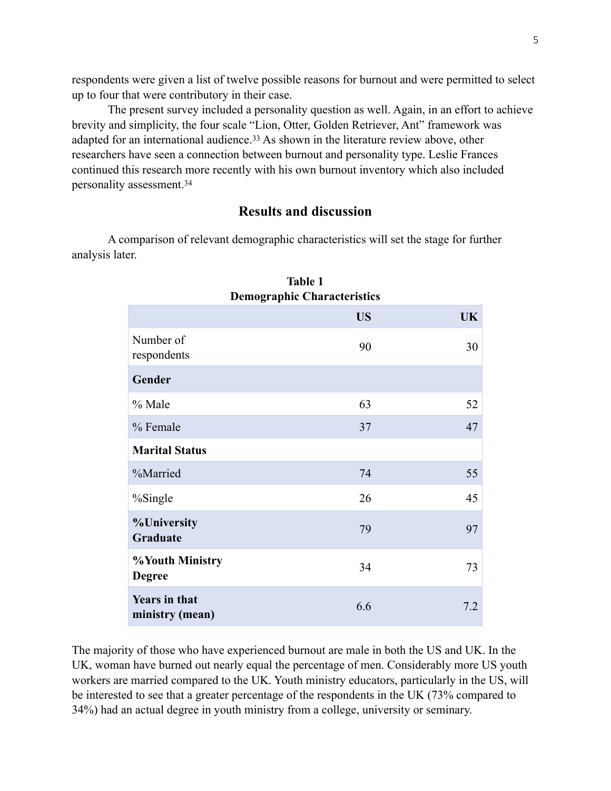respondents were given a list of twelve possible reasons for burnout and were permitted to select up to four that were contributory in their case.

The present survey included a personality question as well. Again, in an effort to achieve brevity and simplicity, the four scale "Lion, Otter, Golden Retriever, Ant" framework was adaptedfor an international audience.<sup>[33](#page-22-3)</sup> As shown in the literature review above, other researchers have seen a connection between burnout and personality type. Leslie Frances continued this research more recently with his own burnout inventory which also included personality assessment.[34](#page-22-4)

# <span id="page-4-1"></span><span id="page-4-0"></span>**Results and discussion**

A comparison of relevant demographic characteristics will set the stage for further analysis later.

| <b>Demographic Characteristics</b>      |           |           |  |  |
|-----------------------------------------|-----------|-----------|--|--|
|                                         | <b>US</b> | <b>UK</b> |  |  |
| Number of<br>respondents                | 90        | 30        |  |  |
| Gender                                  |           |           |  |  |
| % Male                                  | 63        | 52        |  |  |
| % Female                                | 37        | 47        |  |  |
| <b>Marital Status</b>                   |           |           |  |  |
| %Married                                | 74        | 55        |  |  |
| $\%$ Single                             | 26        | 45        |  |  |
| <b>%University</b><br>Graduate          | 79        | 97        |  |  |
| <b>%Youth Ministry</b><br><b>Degree</b> | 34        | 73        |  |  |
| <b>Years in that</b><br>ministry (mean) | 6.6       | 7.2       |  |  |

| Table 1                            |  |
|------------------------------------|--|
| <b>Demographic Characteristics</b> |  |

The majority of those who have experienced burnout are male in both the US and UK. In the UK, woman have burned out nearly equal the percentage of men. Considerably more US youth workers are married compared to the UK. Youth ministry educators, particularly in the US, will be interested to see that a greater percentage of the respondents in the UK (73% compared to 34%) had an actual degree in youth ministry from a college, university or seminary.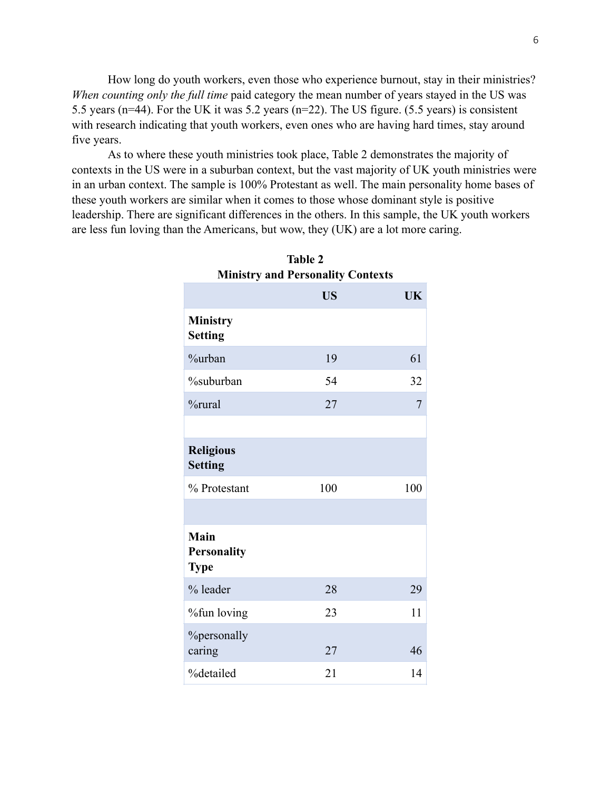How long do youth workers, even those who experience burnout, stay in their ministries? *When counting only the full time* paid category the mean number of years stayed in the US was 5.5 years (n=44). For the UK it was 5.2 years (n=22). The US figure. (5.5 years) is consistent with research indicating that youth workers, even ones who are having hard times, stay around five years.

As to where these youth ministries took place, Table 2 demonstrates the majority of contexts in the US were in a suburban context, but the vast majority of UK youth ministries were in an urban context. The sample is 100% Protestant as well. The main personality home bases of these youth workers are similar when it comes to those whose dominant style is positive leadership. There are significant differences in the others. In this sample, the UK youth workers are less fun loving than the Americans, but wow, they (UK) are a lot more caring.

|                                                  | <b>US</b> | UK  |
|--------------------------------------------------|-----------|-----|
| <b>Ministry</b><br><b>Setting</b>                |           |     |
| %urban                                           | 19        | 61  |
| %suburban                                        | 54        | 32  |
| %rural                                           | 27        | 7   |
|                                                  |           |     |
| <b>Religious</b><br><b>Setting</b>               |           |     |
| % Protestant                                     | 100       | 100 |
|                                                  |           |     |
| <b>Main</b><br><b>Personality</b><br><b>Type</b> |           |     |
| % leader                                         | 28        | 29  |
| %fun loving                                      | 23        | 11  |
| <b>%</b> personally<br>caring                    | 27        | 46  |
| %detailed                                        | 21        | 14  |

**Table 2 Ministry and Personality Contexts**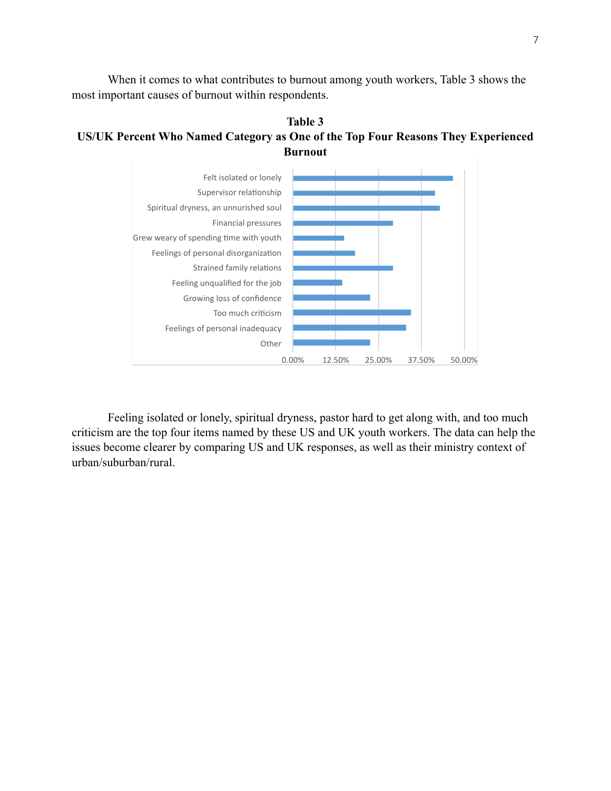When it comes to what contributes to burnout among youth workers, Table 3 shows the most important causes of burnout within respondents.





Feeling isolated or lonely, spiritual dryness, pastor hard to get along with, and too much criticism are the top four items named by these US and UK youth workers. The data can help the issues become clearer by comparing US and UK responses, as well as their ministry context of urban/suburban/rural.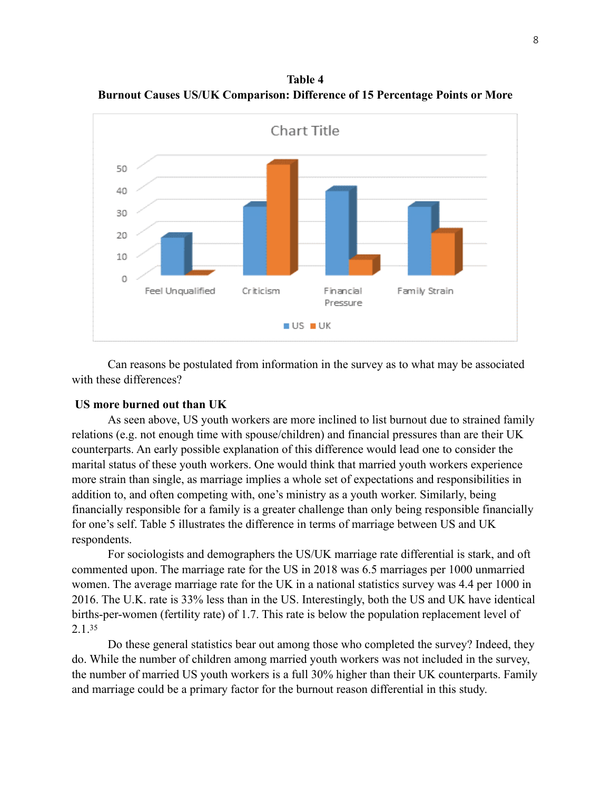**Table 4 Burnout Causes US/UK Comparison: Difference of 15 Percentage Points or More**



Can reasons be postulated from information in the survey as to what may be associated with these differences?

## **US more burned out than UK**

As seen above, US youth workers are more inclined to list burnout due to strained family relations (e.g. not enough time with spouse/children) and financial pressures than are their UK counterparts. An early possible explanation of this difference would lead one to consider the marital status of these youth workers. One would think that married youth workers experience more strain than single, as marriage implies a whole set of expectations and responsibilities in addition to, and often competing with, one's ministry as a youth worker. Similarly, being financially responsible for a family is a greater challenge than only being responsible financially for one's self. Table 5 illustrates the difference in terms of marriage between US and UK respondents.

For sociologists and demographers the US/UK marriage rate differential is stark, and oft commented upon. The marriage rate for the US in 2018 was 6.5 marriages per 1000 unmarried women. The average marriage rate for the UK in a national statistics survey was 4.4 per 1000 in 2016. The U.K. rate is 33% less than in the US. Interestingly, both the US and UK have identical births-per-women (fertility rate) of 1.7. This rate is below the population replacement level of 2.1.[35](#page-22-5)

<span id="page-7-0"></span>Do these general statistics bear out among those who completed the survey? Indeed, they do. While the number of children among married youth workers was not included in the survey, the number of married US youth workers is a full 30% higher than their UK counterparts. Family and marriage could be a primary factor for the burnout reason differential in this study.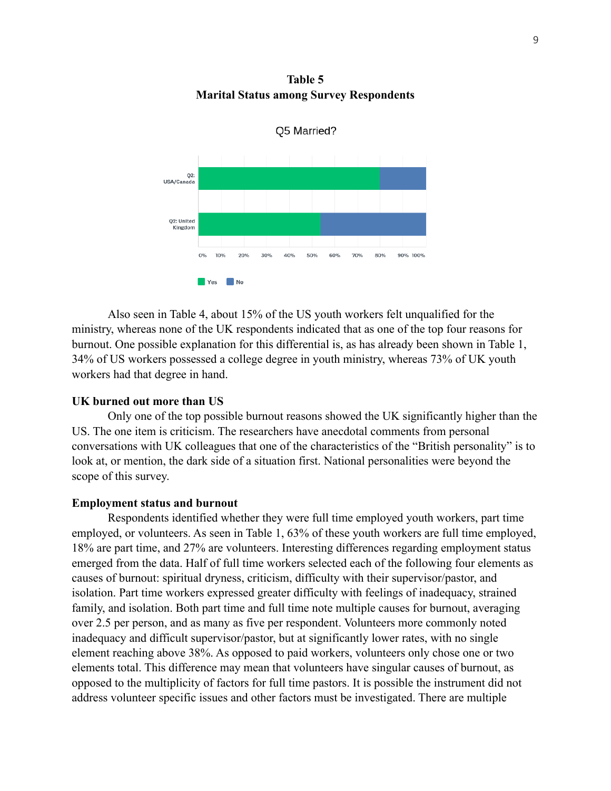**Table 5 Marital Status among Survey Respondents**



Also seen in Table 4, about 15% of the US youth workers felt unqualified for the ministry, whereas none of the UK respondents indicated that as one of the top four reasons for burnout. One possible explanation for this differential is, as has already been shown in Table 1, 34% of US workers possessed a college degree in youth ministry, whereas 73% of UK youth workers had that degree in hand.

### **UK burned out more than US**

Only one of the top possible burnout reasons showed the UK significantly higher than the US. The one item is criticism. The researchers have anecdotal comments from personal conversations with UK colleagues that one of the characteristics of the "British personality" is to look at, or mention, the dark side of a situation first. National personalities were beyond the scope of this survey.

#### **Employment status and burnout**

Respondents identified whether they were full time employed youth workers, part time employed, or volunteers. As seen in Table 1, 63% of these youth workers are full time employed, 18% are part time, and 27% are volunteers. Interesting differences regarding employment status emerged from the data. Half of full time workers selected each of the following four elements as causes of burnout: spiritual dryness, criticism, difficulty with their supervisor/pastor, and isolation. Part time workers expressed greater difficulty with feelings of inadequacy, strained family, and isolation. Both part time and full time note multiple causes for burnout, averaging over 2.5 per person, and as many as five per respondent. Volunteers more commonly noted inadequacy and difficult supervisor/pastor, but at significantly lower rates, with no single element reaching above 38%. As opposed to paid workers, volunteers only chose one or two elements total. This difference may mean that volunteers have singular causes of burnout, as opposed to the multiplicity of factors for full time pastors. It is possible the instrument did not address volunteer specific issues and other factors must be investigated. There are multiple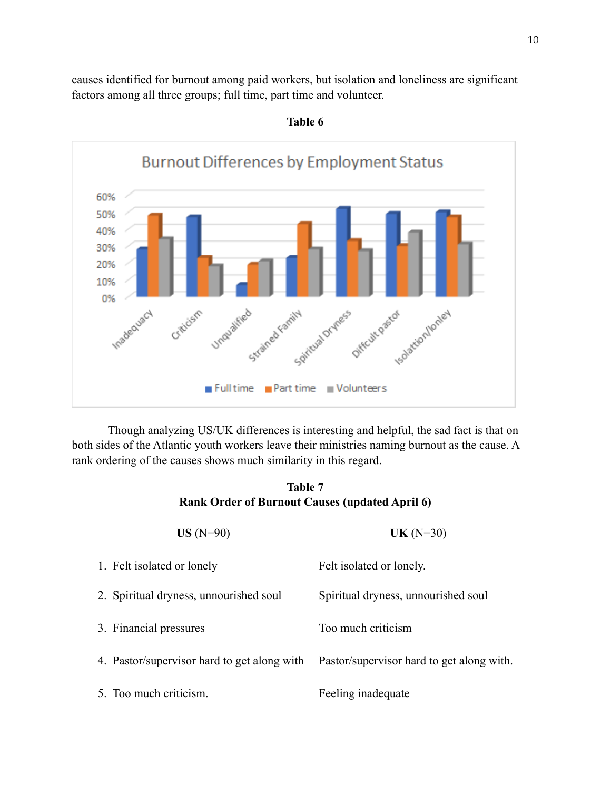causes identified for burnout among paid workers, but isolation and loneliness are significant factors among all three groups; full time, part time and volunteer.



**Table 6**

Though analyzing US/UK differences is interesting and helpful, the sad fact is that on both sides of the Atlantic youth workers leave their ministries naming burnout as the cause. A rank ordering of the causes shows much similarity in this regard.

# **Table 7 Rank Order of Burnout Causes (updated April 6)**

| $US(N=90)$                                  | $UK(N=30)$                                |
|---------------------------------------------|-------------------------------------------|
| 1. Felt isolated or lonely                  | Felt isolated or lonely.                  |
| 2. Spiritual dryness, unnourished soul      | Spiritual dryness, unnourished soul       |
| 3. Financial pressures                      | Too much criticism                        |
| 4. Pastor/supervisor hard to get along with | Pastor/supervisor hard to get along with. |
| 5. Too much criticism.                      | Feeling inadequate                        |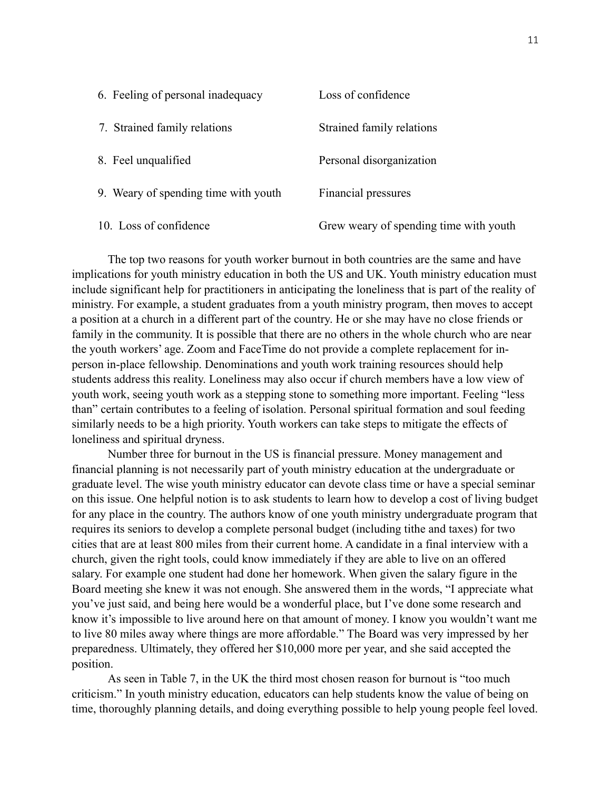| 6. Feeling of personal inadequacy    | Loss of confidence                     |
|--------------------------------------|----------------------------------------|
| 7. Strained family relations         | Strained family relations              |
| 8. Feel unqualified                  | Personal disorganization               |
| 9. Weary of spending time with youth | Financial pressures                    |
| 10. Loss of confidence               | Grew weary of spending time with youth |

The top two reasons for youth worker burnout in both countries are the same and have implications for youth ministry education in both the US and UK. Youth ministry education must include significant help for practitioners in anticipating the loneliness that is part of the reality of ministry. For example, a student graduates from a youth ministry program, then moves to accept a position at a church in a different part of the country. He or she may have no close friends or family in the community. It is possible that there are no others in the whole church who are near the youth workers' age. Zoom and FaceTime do not provide a complete replacement for inperson in-place fellowship. Denominations and youth work training resources should help students address this reality. Loneliness may also occur if church members have a low view of youth work, seeing youth work as a stepping stone to something more important. Feeling "less than" certain contributes to a feeling of isolation. Personal spiritual formation and soul feeding similarly needs to be a high priority. Youth workers can take steps to mitigate the effects of loneliness and spiritual dryness.

Number three for burnout in the US is financial pressure. Money management and financial planning is not necessarily part of youth ministry education at the undergraduate or graduate level. The wise youth ministry educator can devote class time or have a special seminar on this issue. One helpful notion is to ask students to learn how to develop a cost of living budget for any place in the country. The authors know of one youth ministry undergraduate program that requires its seniors to develop a complete personal budget (including tithe and taxes) for two cities that are at least 800 miles from their current home. A candidate in a final interview with a church, given the right tools, could know immediately if they are able to live on an offered salary. For example one student had done her homework. When given the salary figure in the Board meeting she knew it was not enough. She answered them in the words, "I appreciate what you've just said, and being here would be a wonderful place, but I've done some research and know it's impossible to live around here on that amount of money. I know you wouldn't want me to live 80 miles away where things are more affordable." The Board was very impressed by her preparedness. Ultimately, they offered her \$10,000 more per year, and she said accepted the position.

As seen in Table 7, in the UK the third most chosen reason for burnout is "too much criticism." In youth ministry education, educators can help students know the value of being on time, thoroughly planning details, and doing everything possible to help young people feel loved.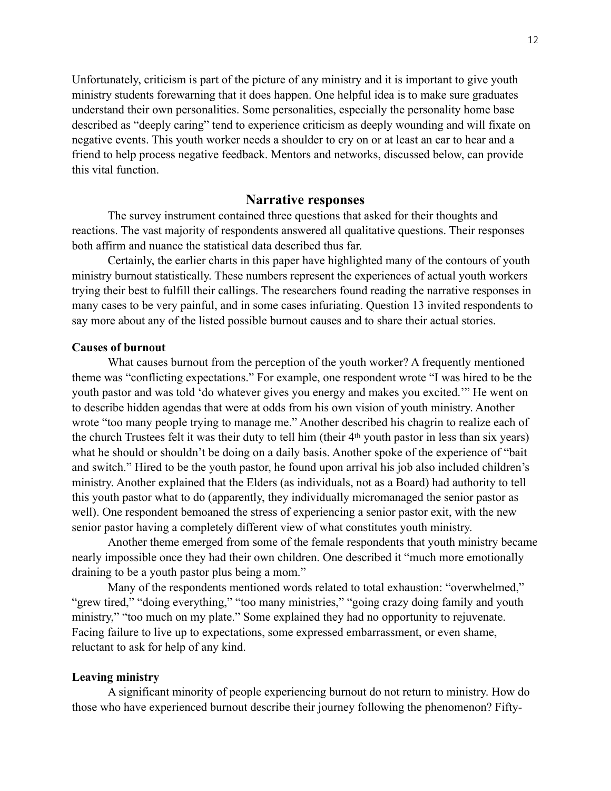Unfortunately, criticism is part of the picture of any ministry and it is important to give youth ministry students forewarning that it does happen. One helpful idea is to make sure graduates understand their own personalities. Some personalities, especially the personality home base described as "deeply caring" tend to experience criticism as deeply wounding and will fixate on negative events. This youth worker needs a shoulder to cry on or at least an ear to hear and a friend to help process negative feedback. Mentors and networks, discussed below, can provide this vital function.

# **Narrative responses**

The survey instrument contained three questions that asked for their thoughts and reactions. The vast majority of respondents answered all qualitative questions. Their responses both affirm and nuance the statistical data described thus far.

Certainly, the earlier charts in this paper have highlighted many of the contours of youth ministry burnout statistically. These numbers represent the experiences of actual youth workers trying their best to fulfill their callings. The researchers found reading the narrative responses in many cases to be very painful, and in some cases infuriating. Question 13 invited respondents to say more about any of the listed possible burnout causes and to share their actual stories.

# **Causes of burnout**

What causes burnout from the perception of the youth worker? A frequently mentioned theme was "conflicting expectations." For example, one respondent wrote "I was hired to be the youth pastor and was told 'do whatever gives you energy and makes you excited.'" He went on to describe hidden agendas that were at odds from his own vision of youth ministry. Another wrote "too many people trying to manage me." Another described his chagrin to realize each of the church Trustees felt it was their duty to tell him (their 4th youth pastor in less than six years) what he should or shouldn't be doing on a daily basis. Another spoke of the experience of "bait" and switch." Hired to be the youth pastor, he found upon arrival his job also included children's ministry. Another explained that the Elders (as individuals, not as a Board) had authority to tell this youth pastor what to do (apparently, they individually micromanaged the senior pastor as well). One respondent bemoaned the stress of experiencing a senior pastor exit, with the new senior pastor having a completely different view of what constitutes youth ministry.

Another theme emerged from some of the female respondents that youth ministry became nearly impossible once they had their own children. One described it "much more emotionally draining to be a youth pastor plus being a mom."

Many of the respondents mentioned words related to total exhaustion: "overwhelmed," "grew tired," "doing everything," "too many ministries," "going crazy doing family and youth ministry," "too much on my plate." Some explained they had no opportunity to rejuvenate. Facing failure to live up to expectations, some expressed embarrassment, or even shame, reluctant to ask for help of any kind.

## **Leaving ministry**

A significant minority of people experiencing burnout do not return to ministry. How do those who have experienced burnout describe their journey following the phenomenon? Fifty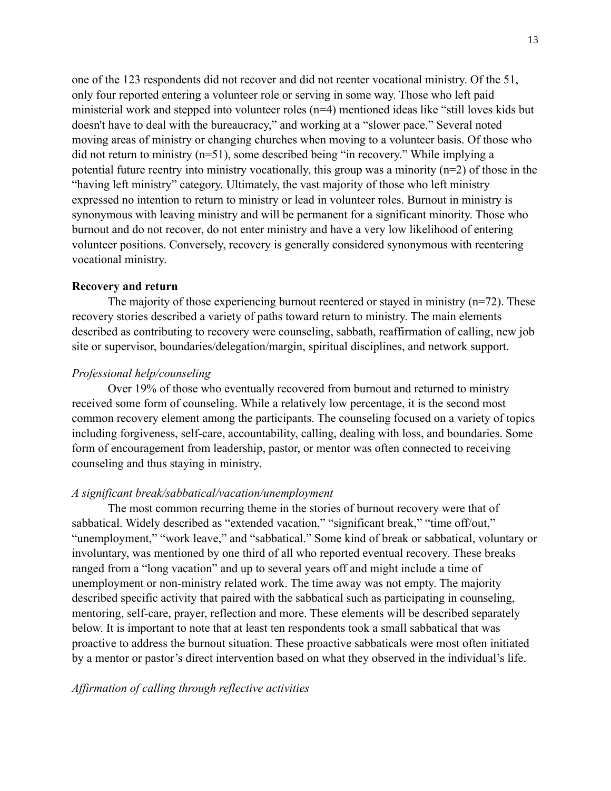one of the 123 respondents did not recover and did not reenter vocational ministry. Of the 51, only four reported entering a volunteer role or serving in some way. Those who left paid ministerial work and stepped into volunteer roles (n=4) mentioned ideas like "still loves kids but doesn't have to deal with the bureaucracy," and working at a "slower pace." Several noted moving areas of ministry or changing churches when moving to a volunteer basis. Of those who did not return to ministry (n=51), some described being "in recovery." While implying a potential future reentry into ministry vocationally, this group was a minority (n=2) of those in the "having left ministry" category. Ultimately, the vast majority of those who left ministry expressed no intention to return to ministry or lead in volunteer roles. Burnout in ministry is synonymous with leaving ministry and will be permanent for a significant minority. Those who burnout and do not recover, do not enter ministry and have a very low likelihood of entering volunteer positions. Conversely, recovery is generally considered synonymous with reentering vocational ministry.

## **Recovery and return**

The majority of those experiencing burnout reentered or stayed in ministry  $(n=72)$ . These recovery stories described a variety of paths toward return to ministry. The main elements described as contributing to recovery were counseling, sabbath, reaffirmation of calling, new job site or supervisor, boundaries/delegation/margin, spiritual disciplines, and network support.

# *Professional help/counseling*

Over 19% of those who eventually recovered from burnout and returned to ministry received some form of counseling. While a relatively low percentage, it is the second most common recovery element among the participants. The counseling focused on a variety of topics including forgiveness, self-care, accountability, calling, dealing with loss, and boundaries. Some form of encouragement from leadership, pastor, or mentor was often connected to receiving counseling and thus staying in ministry.

### *A significant break/sabbatical/vacation/unemployment*

The most common recurring theme in the stories of burnout recovery were that of sabbatical. Widely described as "extended vacation," "significant break," "time off/out," "unemployment," "work leave," and "sabbatical." Some kind of break or sabbatical, voluntary or involuntary, was mentioned by one third of all who reported eventual recovery. These breaks ranged from a "long vacation" and up to several years off and might include a time of unemployment or non-ministry related work. The time away was not empty. The majority described specific activity that paired with the sabbatical such as participating in counseling, mentoring, self-care, prayer, reflection and more. These elements will be described separately below. It is important to note that at least ten respondents took a small sabbatical that was proactive to address the burnout situation. These proactive sabbaticals were most often initiated by a mentor or pastor's direct intervention based on what they observed in the individual's life.

# *Affirmation of calling through reflective activities*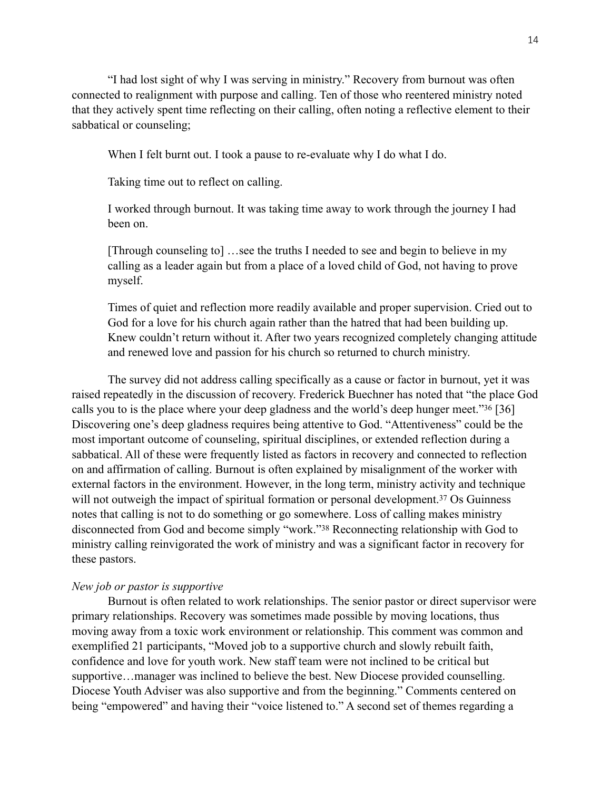"I had lost sight of why I was serving in ministry." Recovery from burnout was often connected to realignment with purpose and calling. Ten of those who reentered ministry noted that they actively spent time reflecting on their calling, often noting a reflective element to their sabbatical or counseling;

When I felt burnt out. I took a pause to re-evaluate why I do what I do.

Taking time out to reflect on calling.

I worked through burnout. It was taking time away to work through the journey I had been on.

[Through counseling to] …see the truths I needed to see and begin to believe in my calling as a leader again but from a place of a loved child of God, not having to prove myself.

<span id="page-13-0"></span>Times of quiet and reflection more readily available and proper supervision. Cried out to God for a love for his church again rather than the hatred that had been building up. Knew couldn't return without it. After two years recognized completely changing attitude and renewed love and passion for his church so returned to church ministry.

The survey did not address calling specifically as a cause or factor in burnout, yet it was raised repeatedly in the discussion of recovery. Frederick Buechner has noted that "the place God calls you to is the place where your deep gladness and the world's deep hunger meet.["](#page-22-6) $36$  [36] Discovering one's deep gladness requires being attentive to God. "Attentiveness" could be the most important outcome of counseling, spiritual disciplines, or extended reflection during a sabbatical. All of these were frequently listed as factors in recovery and connected to reflection on and affirmation of calling. Burnout is often explained by misalignment of the worker with external factors in the environment. However, in the long term, ministry activity and technique will not outweigh the impact of spiritual formation or personal development[.](#page-22-7)<sup>[37](#page-22-7)</sup> Os Guinness notes that calling is not to do something or go somewhere. Loss of calling makes ministry disconnected from God and become simply ["](#page-22-8)work."<sup>[38](#page-22-8)</sup> Reconnecting relationship with God to ministry calling reinvigorated the work of ministry and was a significant factor in recovery for these pastors.

#### <span id="page-13-2"></span><span id="page-13-1"></span>*New job or pastor is supportive*

Burnout is often related to work relationships. The senior pastor or direct supervisor were primary relationships. Recovery was sometimes made possible by moving locations, thus moving away from a toxic work environment or relationship. This comment was common and exemplified 21 participants, "Moved job to a supportive church and slowly rebuilt faith, confidence and love for youth work. New staff team were not inclined to be critical but supportive…manager was inclined to believe the best. New Diocese provided counselling. Diocese Youth Adviser was also supportive and from the beginning." Comments centered on being "empowered" and having their "voice listened to." A second set of themes regarding a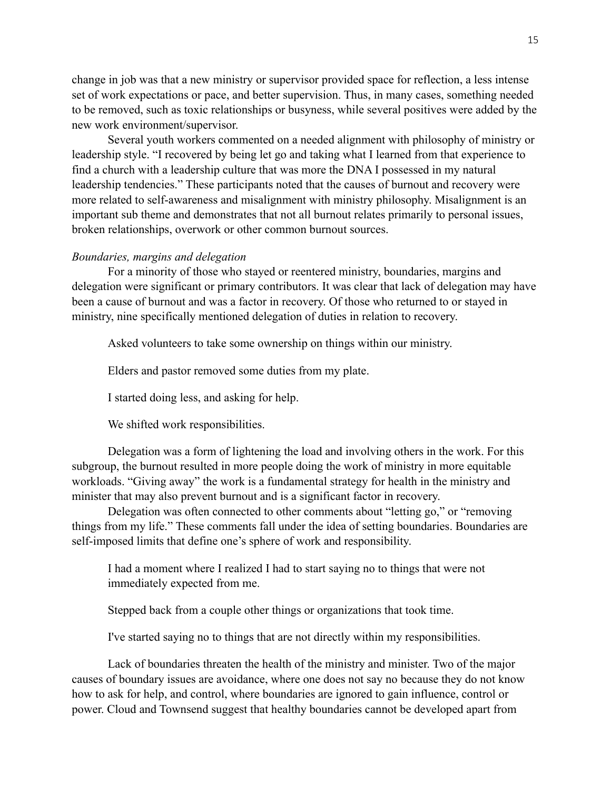change in job was that a new ministry or supervisor provided space for reflection, a less intense set of work expectations or pace, and better supervision. Thus, in many cases, something needed to be removed, such as toxic relationships or busyness, while several positives were added by the new work environment/supervisor.

Several youth workers commented on a needed alignment with philosophy of ministry or leadership style. "I recovered by being let go and taking what I learned from that experience to find a church with a leadership culture that was more the DNA I possessed in my natural leadership tendencies." These participants noted that the causes of burnout and recovery were more related to self-awareness and misalignment with ministry philosophy. Misalignment is an important sub theme and demonstrates that not all burnout relates primarily to personal issues, broken relationships, overwork or other common burnout sources.

#### *Boundaries, margins and delegation*

For a minority of those who stayed or reentered ministry, boundaries, margins and delegation were significant or primary contributors. It was clear that lack of delegation may have been a cause of burnout and was a factor in recovery. Of those who returned to or stayed in ministry, nine specifically mentioned delegation of duties in relation to recovery.

Asked volunteers to take some ownership on things within our ministry.

Elders and pastor removed some duties from my plate.

I started doing less, and asking for help.

We shifted work responsibilities.

Delegation was a form of lightening the load and involving others in the work. For this subgroup, the burnout resulted in more people doing the work of ministry in more equitable workloads. "Giving away" the work is a fundamental strategy for health in the ministry and minister that may also prevent burnout and is a significant factor in recovery.

Delegation was often connected to other comments about "letting go," or "removing things from my life." These comments fall under the idea of setting boundaries. Boundaries are self-imposed limits that define one's sphere of work and responsibility.

I had a moment where I realized I had to start saying no to things that were not immediately expected from me.

Stepped back from a couple other things or organizations that took time.

I've started saying no to things that are not directly within my responsibilities.

Lack of boundaries threaten the health of the ministry and minister. Two of the major causes of boundary issues are avoidance, where one does not say no because they do not know how to ask for help, and control, where boundaries are ignored to gain influence, control or power. Cloud and Townsend suggest that healthy boundaries cannot be developed apart from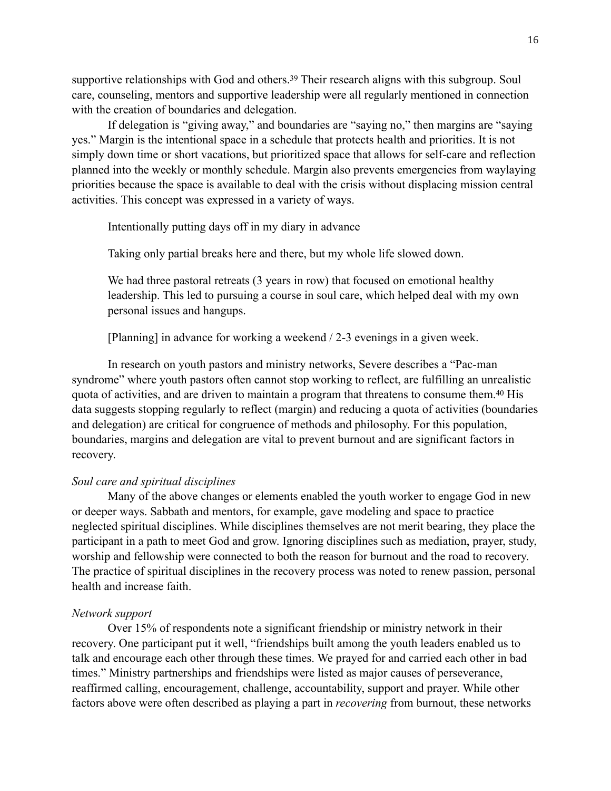<span id="page-15-0"></span>supportiverelationships with God and others.<sup>[39](#page-22-9)</sup> Their research aligns with this subgroup. Soul care, counseling, mentors and supportive leadership were all regularly mentioned in connection with the creation of boundaries and delegation.

If delegation is "giving away," and boundaries are "saying no," then margins are "saying yes." Margin is the intentional space in a schedule that protects health and priorities. It is not simply down time or short vacations, but prioritized space that allows for self-care and reflection planned into the weekly or monthly schedule. Margin also prevents emergencies from waylaying priorities because the space is available to deal with the crisis without displacing mission central activities. This concept was expressed in a variety of ways.

Intentionally putting days off in my diary in advance

Taking only partial breaks here and there, but my whole life slowed down.

We had three pastoral retreats (3 years in row) that focused on emotional healthy leadership. This led to pursuing a course in soul care, which helped deal with my own personal issues and hangups.

<span id="page-15-1"></span>[Planning] in advance for working a weekend / 2-3 evenings in a given week.

In research on youth pastors and ministry networks, Severe describes a "Pac-man syndrome" where youth pastors often cannot stop working to reflect, are fulfilling an unrealistic quota of activities, and are driven to maintain a program that threatens to consume them[.](#page-22-10)<sup>[40](#page-22-10)</sup> His data suggests stopping regularly to reflect (margin) and reducing a quota of activities (boundaries and delegation) are critical for congruence of methods and philosophy. For this population, boundaries, margins and delegation are vital to prevent burnout and are significant factors in recovery.

# *Soul care and spiritual disciplines*

Many of the above changes or elements enabled the youth worker to engage God in new or deeper ways. Sabbath and mentors, for example, gave modeling and space to practice neglected spiritual disciplines. While disciplines themselves are not merit bearing, they place the participant in a path to meet God and grow. Ignoring disciplines such as mediation, prayer, study, worship and fellowship were connected to both the reason for burnout and the road to recovery. The practice of spiritual disciplines in the recovery process was noted to renew passion, personal health and increase faith.

#### *Network support*

Over 15% of respondents note a significant friendship or ministry network in their recovery. One participant put it well, "friendships built among the youth leaders enabled us to talk and encourage each other through these times. We prayed for and carried each other in bad times." Ministry partnerships and friendships were listed as major causes of perseverance, reaffirmed calling, encouragement, challenge, accountability, support and prayer. While other factors above were often described as playing a part in *recovering* from burnout, these networks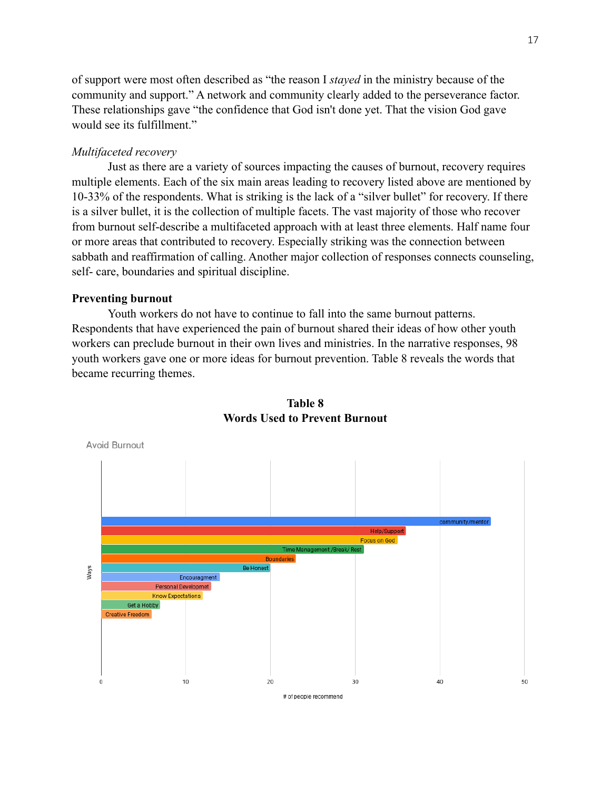of support were most often described as "the reason I *stayed* in the ministry because of the community and support." A network and community clearly added to the perseverance factor. These relationships gave "the confidence that God isn't done yet. That the vision God gave would see its fulfillment."

# *Multifaceted recovery*

Just as there are a variety of sources impacting the causes of burnout, recovery requires multiple elements. Each of the six main areas leading to recovery listed above are mentioned by 10-33% of the respondents. What is striking is the lack of a "silver bullet" for recovery. If there is a silver bullet, it is the collection of multiple facets. The vast majority of those who recover from burnout self-describe a multifaceted approach with at least three elements. Half name four or more areas that contributed to recovery. Especially striking was the connection between sabbath and reaffirmation of calling. Another major collection of responses connects counseling, self- care, boundaries and spiritual discipline.

# **Preventing burnout**

Youth workers do not have to continue to fall into the same burnout patterns. Respondents that have experienced the pain of burnout shared their ideas of how other youth workers can preclude burnout in their own lives and ministries. In the narrative responses, 98 youth workers gave one or more ideas for burnout prevention. Table 8 reveals the words that became recurring themes.



# **Table 8 Words Used to Prevent Burnout**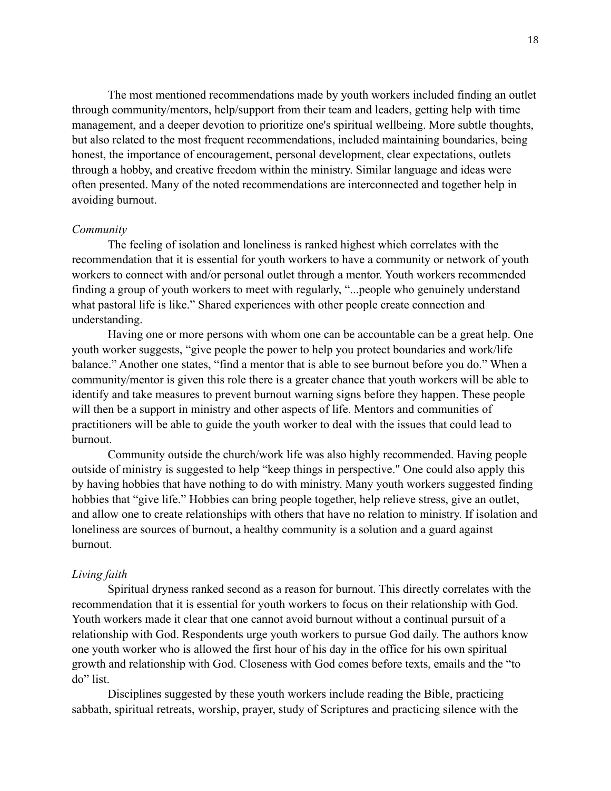The most mentioned recommendations made by youth workers included finding an outlet through community/mentors, help/support from their team and leaders, getting help with time management, and a deeper devotion to prioritize one's spiritual wellbeing. More subtle thoughts, but also related to the most frequent recommendations, included maintaining boundaries, being honest, the importance of encouragement, personal development, clear expectations, outlets through a hobby, and creative freedom within the ministry. Similar language and ideas were often presented. Many of the noted recommendations are interconnected and together help in avoiding burnout.

### *Community*

The feeling of isolation and loneliness is ranked highest which correlates with the recommendation that it is essential for youth workers to have a community or network of youth workers to connect with and/or personal outlet through a mentor. Youth workers recommended finding a group of youth workers to meet with regularly, "...people who genuinely understand what pastoral life is like." Shared experiences with other people create connection and understanding.

Having one or more persons with whom one can be accountable can be a great help. One youth worker suggests, "give people the power to help you protect boundaries and work/life balance." Another one states, "find a mentor that is able to see burnout before you do." When a community/mentor is given this role there is a greater chance that youth workers will be able to identify and take measures to prevent burnout warning signs before they happen. These people will then be a support in ministry and other aspects of life. Mentors and communities of practitioners will be able to guide the youth worker to deal with the issues that could lead to burnout.

Community outside the church/work life was also highly recommended. Having people outside of ministry is suggested to help "keep things in perspective." One could also apply this by having hobbies that have nothing to do with ministry. Many youth workers suggested finding hobbies that "give life." Hobbies can bring people together, help relieve stress, give an outlet, and allow one to create relationships with others that have no relation to ministry. If isolation and loneliness are sources of burnout, a healthy community is a solution and a guard against burnout.

#### *Living faith*

Spiritual dryness ranked second as a reason for burnout. This directly correlates with the recommendation that it is essential for youth workers to focus on their relationship with God. Youth workers made it clear that one cannot avoid burnout without a continual pursuit of a relationship with God. Respondents urge youth workers to pursue God daily. The authors know one youth worker who is allowed the first hour of his day in the office for his own spiritual growth and relationship with God. Closeness with God comes before texts, emails and the "to do" list.

Disciplines suggested by these youth workers include reading the Bible, practicing sabbath, spiritual retreats, worship, prayer, study of Scriptures and practicing silence with the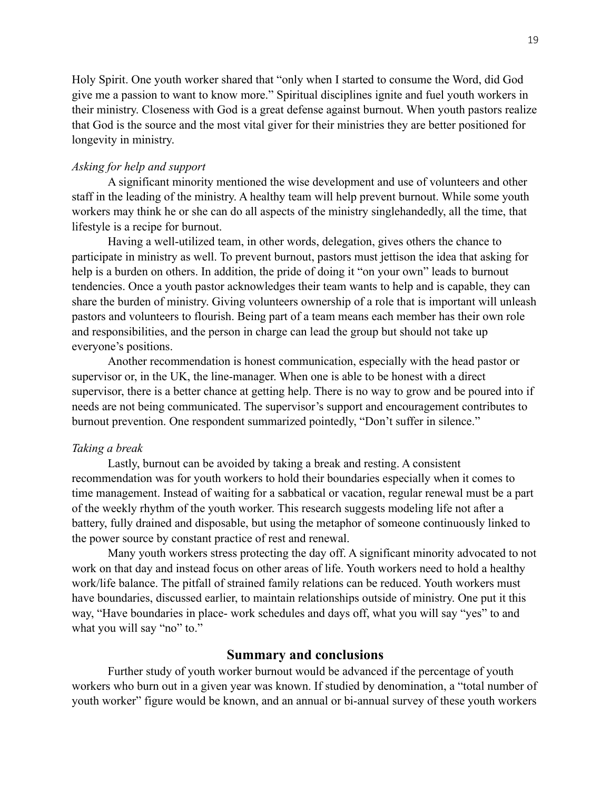Holy Spirit. One youth worker shared that "only when I started to consume the Word, did God give me a passion to want to know more." Spiritual disciplines ignite and fuel youth workers in their ministry. Closeness with God is a great defense against burnout. When youth pastors realize that God is the source and the most vital giver for their ministries they are better positioned for longevity in ministry.

# *Asking for help and support*

A significant minority mentioned the wise development and use of volunteers and other staff in the leading of the ministry. A healthy team will help prevent burnout. While some youth workers may think he or she can do all aspects of the ministry singlehandedly, all the time, that lifestyle is a recipe for burnout.

Having a well-utilized team, in other words, delegation, gives others the chance to participate in ministry as well. To prevent burnout, pastors must jettison the idea that asking for help is a burden on others. In addition, the pride of doing it "on your own" leads to burnout tendencies. Once a youth pastor acknowledges their team wants to help and is capable, they can share the burden of ministry. Giving volunteers ownership of a role that is important will unleash pastors and volunteers to flourish. Being part of a team means each member has their own role and responsibilities, and the person in charge can lead the group but should not take up everyone's positions.

Another recommendation is honest communication, especially with the head pastor or supervisor or, in the UK, the line-manager. When one is able to be honest with a direct supervisor, there is a better chance at getting help. There is no way to grow and be poured into if needs are not being communicated. The supervisor's support and encouragement contributes to burnout prevention. One respondent summarized pointedly, "Don't suffer in silence."

## *Taking a break*

Lastly, burnout can be avoided by taking a break and resting. A consistent recommendation was for youth workers to hold their boundaries especially when it comes to time management. Instead of waiting for a sabbatical or vacation, regular renewal must be a part of the weekly rhythm of the youth worker. This research suggests modeling life not after a battery, fully drained and disposable, but using the metaphor of someone continuously linked to the power source by constant practice of rest and renewal.

Many youth workers stress protecting the day off. A significant minority advocated to not work on that day and instead focus on other areas of life. Youth workers need to hold a healthy work/life balance. The pitfall of strained family relations can be reduced. Youth workers must have boundaries, discussed earlier, to maintain relationships outside of ministry. One put it this way, "Have boundaries in place- work schedules and days off, what you will say "yes" to and what you will say "no" to."

# **Summary and conclusions**

Further study of youth worker burnout would be advanced if the percentage of youth workers who burn out in a given year was known. If studied by denomination, a "total number of youth worker" figure would be known, and an annual or bi-annual survey of these youth workers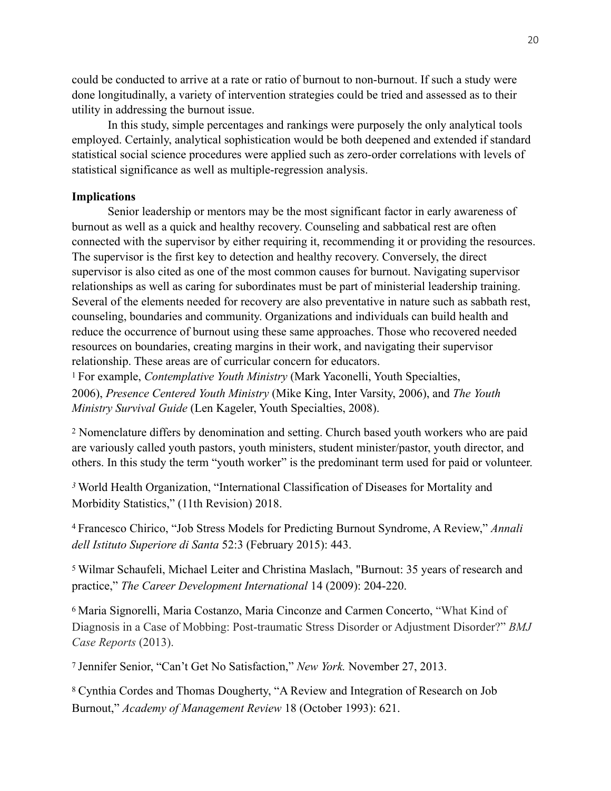could be conducted to arrive at a rate or ratio of burnout to non-burnout. If such a study were done longitudinally, a variety of intervention strategies could be tried and assessed as to their utility in addressing the burnout issue.

In this study, simple percentages and rankings were purposely the only analytical tools employed. Certainly, analytical sophistication would be both deepened and extended if standard statistical social science procedures were applied such as zero-order correlations with levels of statistical significance as well as multiple-regression analysis.

# **Implications**

Senior leadership or mentors may be the most significant factor in early awareness of burnout as well as a quick and healthy recovery. Counseling and sabbatical rest are often connected with the supervisor by either requiring it, recommending it or providing the resources. The supervisor is the first key to detection and healthy recovery. Conversely, the direct supervisor is also cited as one of the most common causes for burnout. Navigating supervisor relationships as well as caring for subordinates must be part of ministerial leadership training. Several of the elements needed for recovery are also preventative in nature such as sabbath rest, counseling, boundaries and community. Organizations and individuals can build health and reduce the occurrence of burnout using these same approaches. Those who recovered needed resources on boundaries, creating margins in their work, and navigating their supervisor relationship. These areas are of curricular concern for educators.

<span id="page-19-0"></span><sup>[1](#page-0-0)</sup> For example, *Contemplative Youth Ministry* (Mark Yaconelli, Youth Specialties, 2006), *Presence Centered Youth Ministry* (Mike King, Inter Varsity, 2006), and *The Youth Ministry Survival Guide* (Len Kageler, Youth Specialties, 2008).

<span id="page-19-1"></span><sup>[2](#page-0-1)</sup> Nomenclature differs by denomination and setting. Church based youth workers who are paid are variously called youth pastors, youth ministers, student minister/pastor, youth director, and others. In this study the term "youth worker" is the predominant term used for paid or volunteer.

<span id="page-19-2"></span>World Health Organization, "International Classification of Diseases for Mortality and *[3](#page-0-2)* Morbidity Statistics," (11th Revision) 2018.

<span id="page-19-3"></span>Francesco Chirico, "Job Stress Models for Predicting Burnout Syndrome, A Review," *Annali* [4](#page-0-3) *dell Istituto Superiore di Santa* 52:3 (February 2015): 443.

<span id="page-19-4"></span>Wilmar Schaufeli, Michael Leiter and Christina Maslach, "Burnout: 35 years of research and [5](#page-0-4) practice," *The Career Development International* 14 (2009): 204-220.

<span id="page-19-5"></span>Maria Signorelli, Maria Costanzo, Maria Cinconze and Carmen Concerto, ["What Kind of](https://www.ncbi.nlm.nih.gov/pubmed/23761569) [6](#page-0-5) [Diagnosis in a Case of Mobbing: Post-traumatic Stress Disorder or Adjustment Disorder?"](https://www.ncbi.nlm.nih.gov/pubmed/23761569) *BMJ [Case Reports](https://www.ncbi.nlm.nih.gov/pubmed/23761569)* (2013).

<span id="page-19-6"></span>Jennifer Senior, "Can't Get No Satisfaction," *New York.* November 27, 2013. [7](#page-1-0)

<span id="page-19-7"></span>Cynthia Cordes and Thomas Dougherty, "A Review and Integration of Research on Job [8](#page-1-1) Burnout," *Academy of Management Review* 18 (October 1993): 621.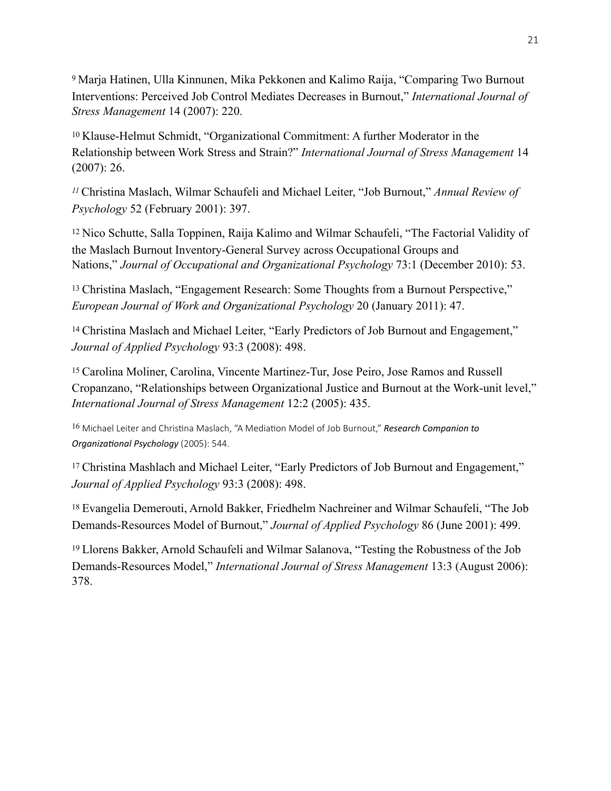<span id="page-20-0"></span>Marja Hatinen, Ulla Kinnunen, Mika Pekkonen and Kalimo Raija, "Comparing Two Burnout [9](#page-1-2) Interventions: Perceived Job Control Mediates Decreases in Burnout," *International Journal of Stress Management* 14 (2007): 220.

<span id="page-20-1"></span><sup>[10](#page-1-3)</sup> Klause-Helmut Schmidt, "Organizational Commitment: A further Moderator in the Relationship between Work Stress and Strain?" *International Journal of Stress Management* 14 (2007): 26.

<span id="page-20-2"></span>Christina Maslach, Wilmar Schaufeli and Michael Leiter, "Job Burnout," *Annual Review of [11](#page-1-4) Psychology* 52 (February 2001): 397.

<span id="page-20-3"></span><sup>[12](#page-1-5)</sup> Nico Schutte, Salla Toppinen, Raija Kalimo and Wilmar Schaufeli, "The Factorial Validity of the Maslach Burnout Inventory-General Survey across Occupational Groups and Nations," *Journal of Occupational and Organizational Psychology* 73:1 (December 2010): 53.

<span id="page-20-4"></span><sup>[13](#page-1-6)</sup> Christina Maslach, "Engagement Research: Some Thoughts from a Burnout Perspective," *European Journal of Work and Organizational Psychology* 20 (January 2011): 47.

<span id="page-20-5"></span><sup>[14](#page-1-7)</sup> Christina Maslach and Michael Leiter, "Early Predictors of Job Burnout and Engagement," *Journal of Applied Psychology* 93:3 (2008): 498.

<span id="page-20-6"></span><sup>[15](#page-1-8)</sup> Carolina Moliner, Carolina, Vincente Martinez-Tur, Jose Peiro, Jose Ramos and Russell Cropanzano, "Relationships between Organizational Justice and Burnout at the Work-unit level," *International Journal of Stress Management* 12:2 (2005): 435.

<span id="page-20-7"></span><sup>[16](#page-1-9)</sup> Michael Leiter and Christina Maslach, "A Mediation Model of Job Burnout," *Research Companion to Organizational Psychology* (2005): 544.

<span id="page-20-8"></span><sup>[17](#page-1-10)</sup> Christina Mashlach and Michael Leiter, "Early Predictors of Job Burnout and Engagement," *Journal of Applied Psychology* 93:3 (2008): 498.

<span id="page-20-9"></span><sup>[18](#page-1-11)</sup> Evangelia Demerouti, Arnold Bakker, Friedhelm Nachreiner and Wilmar Schaufeli, "The Job Demands-Resources Model of Burnout," *Journal of Applied Psychology* 86 (June 2001): 499.

<span id="page-20-10"></span><sup>[19](#page-1-12)</sup> Llorens Bakker, Arnold Schaufeli and Wilmar Salanova, "Testing the Robustness of the Job Demands-Resources Model," *International Journal of Stress Management* 13:3 (August 2006): 378.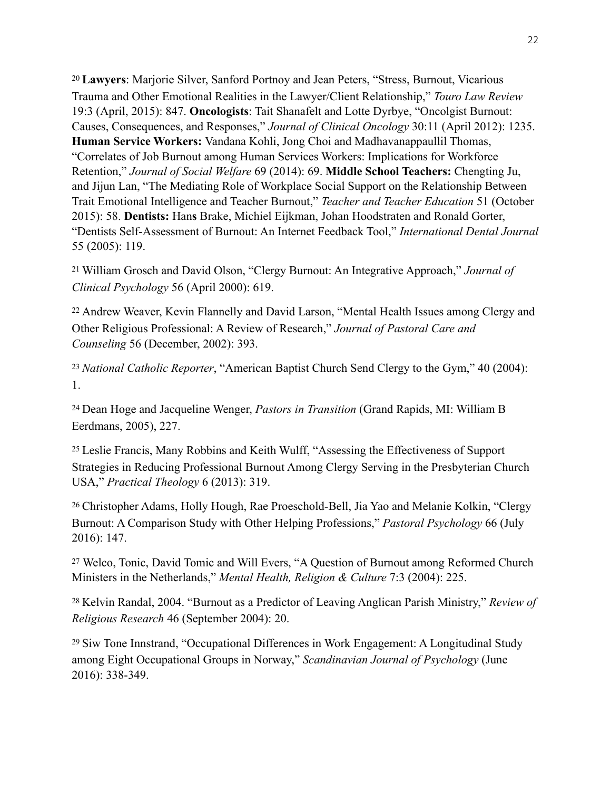<span id="page-21-0"></span><sup>[20](#page-2-0)</sup> Lawyers: Marjorie Silver, Sanford Portnoy and Jean Peters, "Stress, Burnout, Vicarious Trauma and Other Emotional Realities in the Lawyer/Client Relationship," *Touro Law Review*  19:3 (April, 2015): 847. **Oncologists**: Tait Shanafelt and Lotte Dyrbye, "Oncolgist Burnout: Causes, Consequences, and Responses," *Journal of Clinical Oncology* 30:11 (April 2012): 1235. **Human Service Workers:** Vandana Kohli, Jong Choi and Madhavanappaullil Thomas, "Correlates of Job Burnout among Human Services Workers: Implications for Workforce Retention," *Journal of Social Welfare* 69 (2014): 69. **Middle School Teachers:** Chengting Ju, and Jijun Lan, "The Mediating Role of Workplace Social Support on the Relationship Between Trait Emotional Intelligence and Teacher Burnout," *Teacher and Teacher Education* 51 (October 2015): 58. **Dentists:** Han**s** Brake, Michiel Eijkman, Johan Hoodstraten and Ronald Gorter, "Dentists Self-Assessment of Burnout: An Internet Feedback Tool," *International Dental Journal* 55 (2005): 119.

<span id="page-21-1"></span>William Grosch and David Olson, "Clergy Burnout: An Integrative Approach," *Journal of* [21](#page-2-1) *Clinical Psychology* 56 (April 2000): 619.

<span id="page-21-2"></span><sup>[22](#page-2-2)</sup> Andrew Weaver, Kevin Flannelly and David Larson, "Mental Health Issues among Clergy and Other Religious Professional: A Review of Research," *Journal of Pastoral Care and Counseling* 56 (December, 2002): 393.

<span id="page-21-3"></span><sup>[23](#page-2-3)</sup> National Catholic Reporter, "American Baptist Church Send Clergy to the Gym," 40 (2004): 1.

<span id="page-21-4"></span>Dean Hoge and Jacqueline Wenger, *Pastors in Transition* (Grand Rapids, MI: William B [24](#page-2-4) Eerdmans, 2005), 227.

<span id="page-21-5"></span>Leslie Francis, Many Robbins and Keith Wulff, "Assessing the Effectiveness of Support [25](#page-2-5) Strategies in Reducing Professional Burnout Among Clergy Serving in the Presbyterian Church USA," *Practical Theology* 6 (2013): 319.

<span id="page-21-6"></span><sup>[26](#page-2-6)</sup> Christopher Adams, Holly Hough, Rae Proeschold-Bell, Jia Yao and Melanie Kolkin, "Clergy" Burnout: A Comparison Study with Other Helping Professions," *Pastoral Psychology* 66 (July 2016): 147.

<span id="page-21-7"></span><sup>[27](#page-2-7)</sup> Welco, Tonic, David Tomic and Will Evers, "A Question of Burnout among Reformed Church Ministers in the Netherlands," *Mental Health, Religion & Culture* 7:3 (2004): 225.

<span id="page-21-8"></span><sup>[28](#page-3-0)</sup> Kelvin Randal, 2004. "Burnout as a Predictor of Leaving Anglican Parish Ministry," *Review of Religious Research* 46 (September 2004): 20.

<span id="page-21-9"></span><sup>[29](#page-3-1)</sup> Siw Tone Innstrand, "Occupational Differences in Work Engagement: A Longitudinal Study among Eight Occupational Groups in Norway," *Scandinavian Journal of Psychology* (June 2016): 338-349.